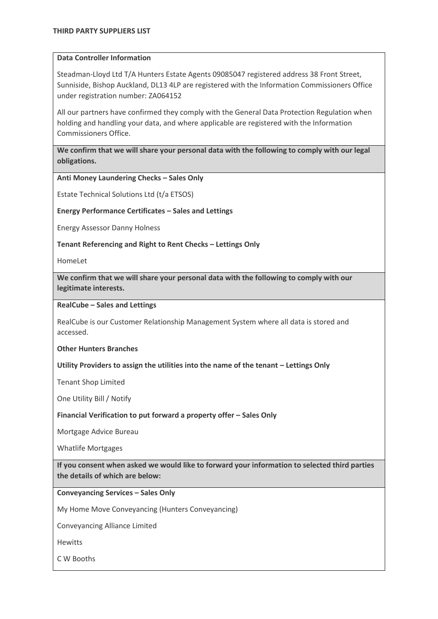## **Data Controller Information**

Steadman-Lloyd Ltd T/A Hunters Estate Agents 09085047 registered address 38 Front Street, Sunniside, Bishop Auckland, DL13 4LP are registered with the Information Commissioners Office under registration number: ZA064152

All our partners have confirmed they comply with the General Data Protection Regulation when holding and handling your data, and where applicable are registered with the Information Commissioners Office.

**We confirm that we will share your personal data with the following to comply with our legal obligations.**

**Anti Money Laundering Checks – Sales Only**

Estate Technical Solutions Ltd (t/a ETSOS)

**Energy Performance Certificates – Sales and Lettings**

Energy Assessor Danny Holness

**Tenant Referencing and Right to Rent Checks – Lettings Only**

HomeLet

**We confirm that we will share your personal data with the following to comply with our legitimate interests.**

**RealCube – Sales and Lettings**

RealCube is our Customer Relationship Management System where all data is stored and accessed.

**Other Hunters Branches**

**Utility Providers to assign the utilities into the name of the tenant – Lettings Only**

Tenant Shop Limited

One Utility Bill / Notify

**Financial Verification to put forward a property offer – Sales Only** 

Mortgage Advice Bureau

Whatlife Mortgages

**If you consent when asked we would like to forward your information to selected third parties the details of which are below:** 

**Conveyancing Services – Sales Only**

My Home Move Conveyancing (Hunters Conveyancing)

Conveyancing Alliance Limited

**Hewitts** 

C W Booths